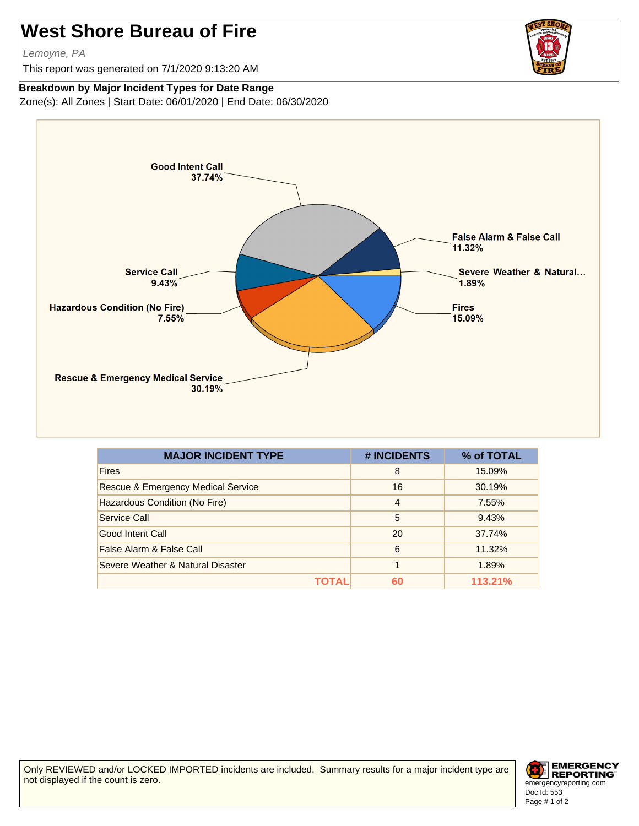## **West Shore Bureau of Fire**

Lemoyne, PA

This report was generated on 7/1/2020 9:13:20 AM



## **Breakdown by Major Incident Types for Date Range**

Zone(s): All Zones | Start Date: 06/01/2020 | End Date: 06/30/2020



| <b>MAJOR INCIDENT TYPE</b>                    | # INCIDENTS    | % of TOTAL |
|-----------------------------------------------|----------------|------------|
| <b>Fires</b>                                  | 8              | 15.09%     |
| <b>Rescue &amp; Emergency Medical Service</b> | 16             | 30.19%     |
| Hazardous Condition (No Fire)                 | $\overline{4}$ | 7.55%      |
| Service Call                                  | 5              | 9.43%      |
| Good Intent Call                              | 20             | 37.74%     |
| False Alarm & False Call                      | 6              | 11.32%     |
| Severe Weather & Natural Disaster             | 1              | 1.89%      |
| τωται                                         | 60             | 113.21%    |

Only REVIEWED and/or LOCKED IMPORTED incidents are included. Summary results for a major incident type are not displayed if the count is zero.